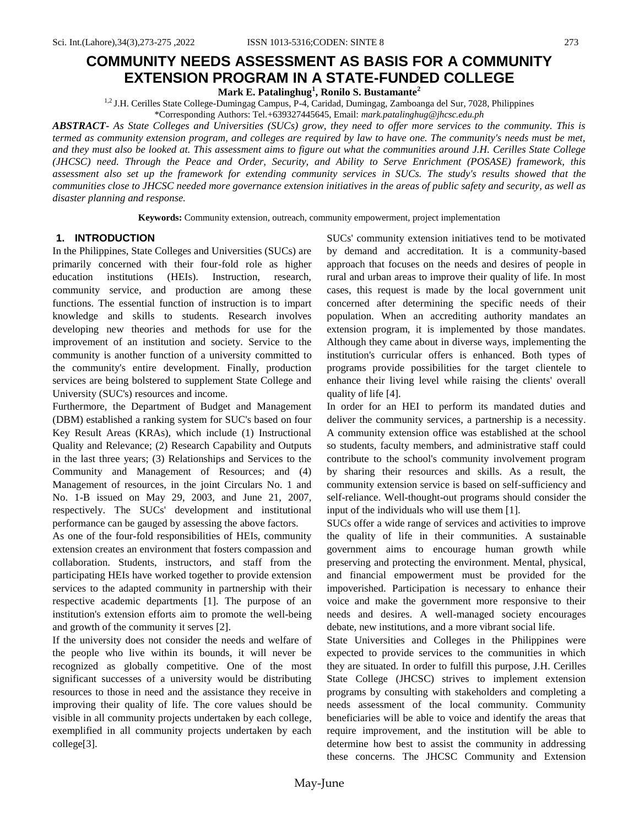# **COMMUNITY NEEDS ASSESSMENT AS BASIS FOR A COMMUNITY**

**EXTENSION PROGRAM IN A STATE-FUNDED COLLEGE**

**Mark E. Patalinghug<sup>1</sup> , Ronilo S. Bustamante<sup>2</sup>**

1,2 J.H. Cerilles State College-Dumingag Campus, P-4, Caridad, Dumingag, Zamboanga del Sur, 7028, Philippines \*Corresponding Authors: Tel.+639327445645, Email: *mark.patalinghug@jhcsc.edu.ph*

*ABSTRACT***-** *As State Colleges and Universities (SUCs) grow, they need to offer more services to the community. This is termed as community extension program, and colleges are required by law to have one. The community's needs must be met, and they must also be looked at. This assessment aims to figure out what the communities around J.H. Cerilles State College (JHCSC) need. Through the Peace and Order, Security, and Ability to Serve Enrichment (POSASE) framework, this assessment also set up the framework for extending community services in SUCs. The study's results showed that the communities close to JHCSC needed more governance extension initiatives in the areas of public safety and security, as well as disaster planning and response.*

**Keywords:** Community extension, outreach, community empowerment, project implementation

# **1. INTRODUCTION**

In the Philippines, State Colleges and Universities (SUCs) are primarily concerned with their four-fold role as higher education institutions (HEIs). Instruction, research, community service, and production are among these functions. The essential function of instruction is to impart knowledge and skills to students. Research involves developing new theories and methods for use for the improvement of an institution and society. Service to the community is another function of a university committed to the community's entire development. Finally, production services are being bolstered to supplement State College and University (SUC's) resources and income.

Furthermore, the Department of Budget and Management (DBM) established a ranking system for SUC's based on four Key Result Areas (KRAs), which include (1) Instructional Quality and Relevance; (2) Research Capability and Outputs in the last three years; (3) Relationships and Services to the Community and Management of Resources; and (4) Management of resources, in the joint Circulars No. 1 and No. 1-B issued on May 29, 2003, and June 21, 2007, respectively. The SUCs' development and institutional performance can be gauged by assessing the above factors.

As one of the four-fold responsibilities of HEIs, community extension creates an environment that fosters compassion and collaboration. Students, instructors, and staff from the participating HEIs have worked together to provide extension services to the adapted community in partnership with their respective academic departments [1]. The purpose of an institution's extension efforts aim to promote the well-being and growth of the community it serves [2].

If the university does not consider the needs and welfare of the people who live within its bounds, it will never be recognized as globally competitive. One of the most significant successes of a university would be distributing resources to those in need and the assistance they receive in improving their quality of life. The core values should be visible in all community projects undertaken by each college, exemplified in all community projects undertaken by each college[3].

SUCs' community extension initiatives tend to be motivated by demand and accreditation. It is a community-based approach that focuses on the needs and desires of people in rural and urban areas to improve their quality of life. In most cases, this request is made by the local government unit concerned after determining the specific needs of their population. When an accrediting authority mandates an extension program, it is implemented by those mandates. Although they came about in diverse ways, implementing the institution's curricular offers is enhanced. Both types of programs provide possibilities for the target clientele to enhance their living level while raising the clients' overall quality of life [4].

In order for an HEI to perform its mandated duties and deliver the community services, a partnership is a necessity. A community extension office was established at the school so students, faculty members, and administrative staff could contribute to the school's community involvement program by sharing their resources and skills. As a result, the community extension service is based on self-sufficiency and self-reliance. Well-thought-out programs should consider the input of the individuals who will use them [1].

SUCs offer a wide range of services and activities to improve the quality of life in their communities. A sustainable government aims to encourage human growth while preserving and protecting the environment. Mental, physical, and financial empowerment must be provided for the impoverished. Participation is necessary to enhance their voice and make the government more responsive to their needs and desires. A well-managed society encourages debate, new institutions, and a more vibrant social life.

State Universities and Colleges in the Philippines were expected to provide services to the communities in which they are situated. In order to fulfill this purpose, J.H. Cerilles State College (JHCSC) strives to implement extension programs by consulting with stakeholders and completing a needs assessment of the local community. Community beneficiaries will be able to voice and identify the areas that require improvement, and the institution will be able to determine how best to assist the community in addressing these concerns. The JHCSC Community and Extension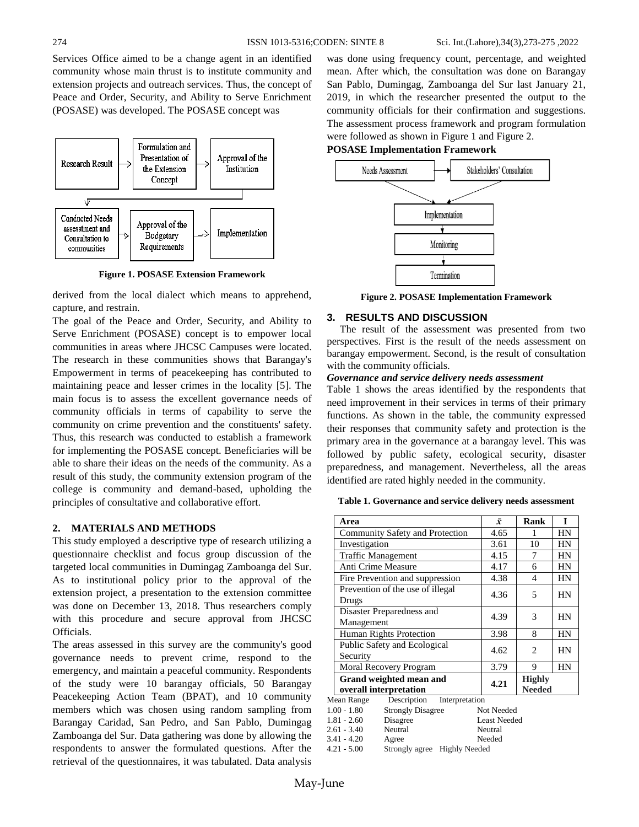Services Office aimed to be a change agent in an identified community whose main thrust is to institute community and extension projects and outreach services. Thus, the concept of Peace and Order, Security, and Ability to Serve Enrichment (POSASE) was developed. The POSASE concept was



**Figure 1. POSASE Extension Framework**

derived from the local dialect which means to apprehend, capture, and restrain.

The goal of the Peace and Order, Security, and Ability to Serve Enrichment (POSASE) concept is to empower local communities in areas where JHCSC Campuses were located. The research in these communities shows that Barangay's Empowerment in terms of peacekeeping has contributed to maintaining peace and lesser crimes in the locality [5]. The main focus is to assess the excellent governance needs of community officials in terms of capability to serve the community on crime prevention and the constituents' safety. Thus, this research was conducted to establish a framework for implementing the POSASE concept. Beneficiaries will be able to share their ideas on the needs of the community. As a result of this study, the community extension program of the college is community and demand-based, upholding the principles of consultative and collaborative effort.

#### **2. MATERIALS AND METHODS**

This study employed a descriptive type of research utilizing a questionnaire checklist and focus group discussion of the targeted local communities in Dumingag Zamboanga del Sur. As to institutional policy prior to the approval of the extension project, a presentation to the extension committee was done on December 13, 2018. Thus researchers comply with this procedure and secure approval from JHCSC Officials.

The areas assessed in this survey are the community's good governance needs to prevent crime, respond to the emergency, and maintain a peaceful community. Respondents of the study were 10 barangay officials, 50 Barangay Peacekeeping Action Team (BPAT), and 10 community members which was chosen using random sampling from Barangay Caridad, San Pedro, and San Pablo, Dumingag Zamboanga del Sur. Data gathering was done by allowing the respondents to answer the formulated questions. After the retrieval of the questionnaires, it was tabulated. Data analysis

was done using frequency count, percentage, and weighted mean. After which, the consultation was done on Barangay San Pablo, Dumingag, Zamboanga del Sur last January 21, 2019, in which the researcher presented the output to the community officials for their confirmation and suggestions. The assessment process framework and program formulation were followed as shown in Figure 1 and Figure 2.

# **POSASE Implementation Framework**



**Figure 2. POSASE Implementation Framework**

## **3. RESULTS AND DISCUSSION**

 The result of the assessment was presented from two perspectives. First is the result of the needs assessment on barangay empowerment. Second, is the result of consultation with the community officials.

#### *Governance and service delivery needs assessment*

Table 1 shows the areas identified by the respondents that need improvement in their services in terms of their primary functions. As shown in the table, the community expressed their responses that community safety and protection is the primary area in the governance at a barangay level. This was followed by public safety, ecological security, disaster preparedness, and management. Nevertheless, all the areas identified are rated highly needed in the community.

**Table 1. Governance and service delivery needs assessment**

| Area                                                  |                                        | $\bar{x}$ | Rank                           | I  |  |
|-------------------------------------------------------|----------------------------------------|-----------|--------------------------------|----|--|
| Community Safety and Protection                       |                                        | 4.65      | 1                              | HN |  |
| Investigation                                         |                                        | 3.61      | 10                             | HN |  |
| <b>Traffic Management</b>                             |                                        | 4.15      | 7                              | HN |  |
| Anti Crime Measure                                    |                                        | 4.17      | 6                              | HN |  |
| Fire Prevention and suppression                       |                                        | 4.38      | 4                              | HN |  |
| Prevention of the use of illegal<br>Drugs             |                                        | 4.36      | 5                              | HN |  |
| Disaster Preparedness and<br>Management               |                                        | 4.39      | 3                              | HN |  |
| Human Rights Protection                               |                                        | 3.98      | 8                              | HN |  |
| Public Safety and Ecological<br>Security              |                                        | 4.62      | 2                              | HN |  |
| Moral Recovery Program                                |                                        | 3.79      | 9                              | HN |  |
| Grand weighted mean and<br>overall interpretation     |                                        | 4.21      | <b>Highly</b><br><b>Needed</b> |    |  |
| Mean Range                                            | Description<br>Interpretation          |           |                                |    |  |
| $1.00 - 1.80$                                         | <b>Strongly Disagree</b><br>Not Needed |           |                                |    |  |
| Disagree<br>$1.81 - 2.60$                             |                                        |           | <b>Least Needed</b>            |    |  |
| Neutral<br>2.61 - 3.40                                |                                        | Neutral   |                                |    |  |
| $3.41 - 4.20$<br>Agree                                |                                        | Needed    |                                |    |  |
| <b>Highly Needed</b><br>4.21 - 5.00<br>Strongly agree |                                        |           |                                |    |  |